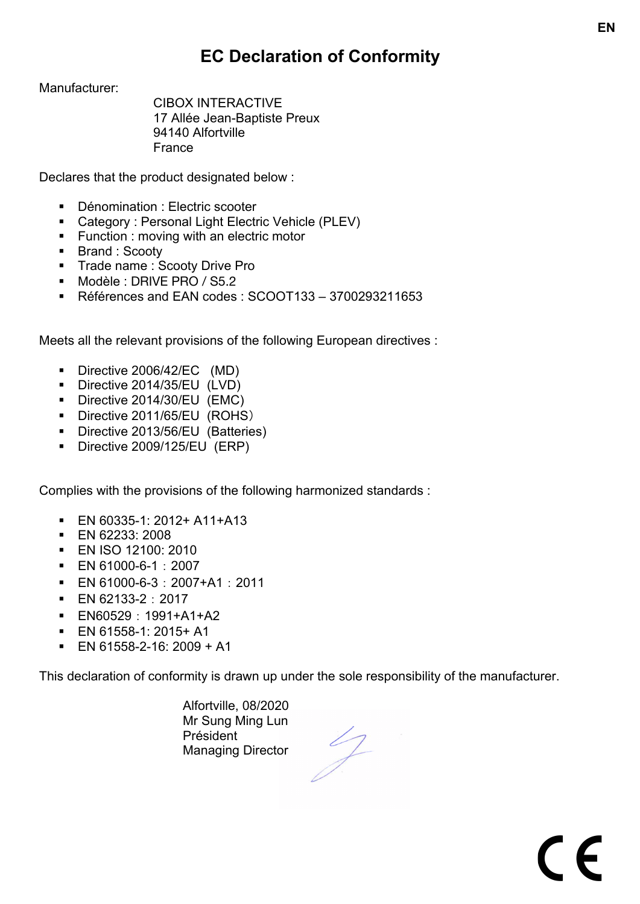# **EC Declaration of Conformity**

Manufacturer:

CIBOX INTERACTIVE 17 Allée Jean-Baptiste Preux 94140 Alfortville France

Declares that the product designated below :

- Dénomination : Electric scooter
- Category : Personal Light Electric Vehicle (PLEV)
- Function : moving with an electric motor
- Brand : Scooty
- § Trade name : Scooty Drive Pro
- § Modèle : DRIVE PRO / S5.2
- § Références and EAN codes : SCOOT133 3700293211653

Meets all the relevant provisions of the following European directives :

- § Directive 2006/42/EC (MD)
- § Directive 2014/35/EU (LVD)
- Directive 2014/30/EU (EMC)
- § Directive 2011/65/EU (ROHS)
- Directive 2013/56/EU (Batteries)
- Directive 2009/125/EU (ERP)

Complies with the provisions of the following harmonized standards :

- § EN 60335-1: 2012+ A11+A13
- § EN 62233: 2008
- § EN ISO 12100: 2010
- § EN 61000-6-1:2007
- $\blacksquare$  EN 61000-6-3: 2007+A1: 2011
- EN 62133-2:2017
- § EN60529:1991+A1+A2
- $\blacksquare$  EN 61558-1: 2015+ A1
- $\blacksquare$  EN 61558-2-16: 2009 + A1

This declaration of conformity is drawn up under the sole responsibility of the manufacturer.

Alfortville, 08/2020 Mr Sung Ming Lun Président Managing Director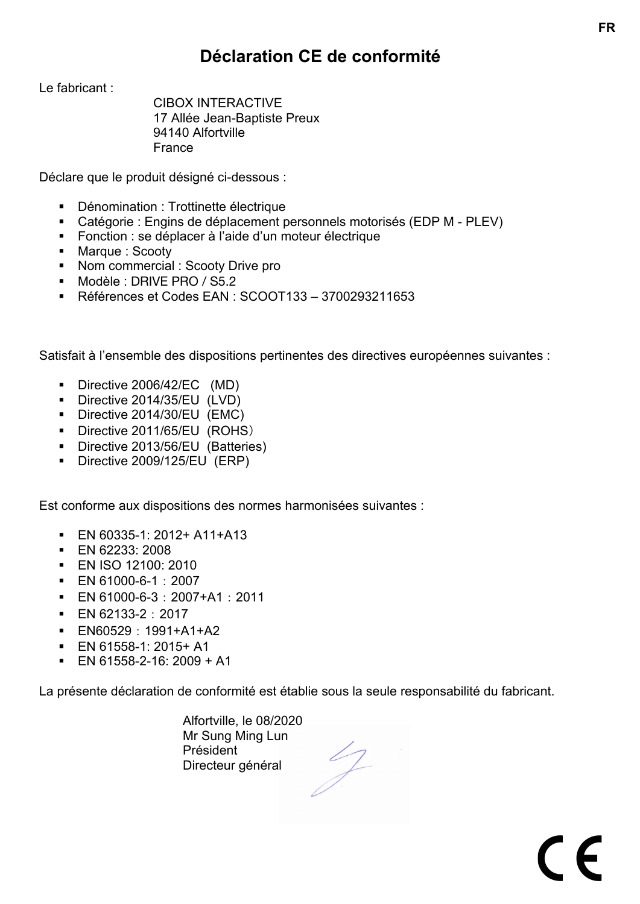### **Déclaration CE de conformité**

Le fabricant :

CIBOX INTERACTIVE 17 Allée Jean-Baptiste Preux 94140 Alfortville France

Déclare que le produit désigné ci-dessous :

- Dénomination : Trottinette électrique
- Catégorie : Engins de déplacement personnels motorisés (EDP M PLEV)
- Fonction : se déplacer à l'aide d'un moteur électrique
- Marque : Scooty
- Nom commercial : Scooty Drive pro
- § Modèle : DRIVE PRO / S5.2
- § Références et Codes EAN : SCOOT133 3700293211653

Satisfait à l'ensemble des dispositions pertinentes des directives européennes suivantes :

- Directive 2006/42/EC (MD)
- § Directive 2014/35/EU (LVD)
- Directive 2014/30/EU (EMC)
- § Directive 2011/65/EU (ROHS)
- Directive 2013/56/EU (Batteries)
- Directive 2009/125/EU (ERP)

Est conforme aux dispositions des normes harmonisées suivantes :

- § EN 60335-1: 2012+ A11+A13
- § EN 62233: 2008
- § EN ISO 12100: 2010
- § EN 61000-6-1:2007
- $\blacksquare$  EN 61000-6-3: 2007+A1: 2011
- EN 62133-2:2017
- § EN60529:1991+A1+A2
- § EN 61558-1: 2015+ A1
- EN 61558-2-16: 2009 + A1

La présente déclaration de conformité est établie sous la seule responsabilité du fabricant.

Alfortville, le 08/2020 Mr Sung Ming Lun Président Directeur général

 $\epsilon$ 

**FR**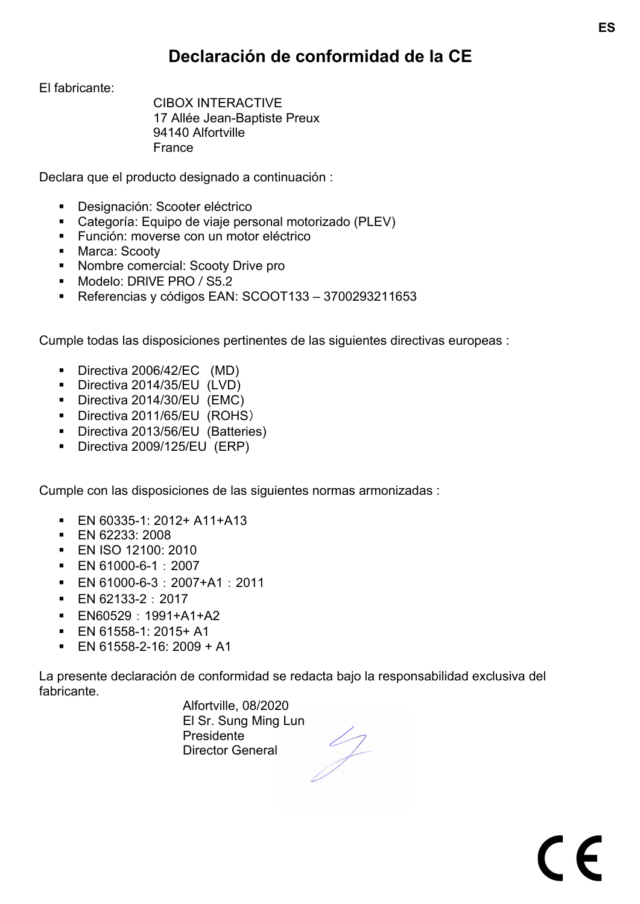### **Declaración de conformidad de la CE**

El fabricante:

CIBOX INTERACTIVE 17 Allée Jean-Baptiste Preux 94140 Alfortville France

Declara que el producto designado a continuación :

- Designación: Scooter eléctrico
- Categoría: Equipo de viaje personal motorizado (PLEV)
- Función: moverse con un motor eléctrico
- Marca: Scooty
- Nombre comercial: Scooty Drive pro
- § Modelo: DRIVE PRO / S5.2
- § Referencias y códigos EAN: SCOOT133 3700293211653

Cumple todas las disposiciones pertinentes de las siguientes directivas europeas :

- § Directiva 2006/42/EC (MD)
- § Directiva 2014/35/EU (LVD)
- Directiva 2014/30/EU (EMC)
- § Directiva 2011/65/EU (ROHS)
- Directiva 2013/56/EU (Batteries)
- § Directiva 2009/125/EU (ERP)

Cumple con las disposiciones de las siguientes normas armonizadas :

- § EN 60335-1: 2012+ A11+A13
- § EN 62233: 2008
- § EN ISO 12100: 2010
- § EN 61000-6-1:2007
- $\blacksquare$  EN 61000-6-3: 2007+A1: 2011
- EN 62133-2:2017
- § EN60529:1991+A1+A2
- § EN 61558-1: 2015+ A1
- $\blacksquare$  EN 61558-2-16: 2009 + A1

La presente declaración de conformidad se redacta bajo la responsabilidad exclusiva del fabricante.

> Alfortville, 08/2020 El Sr. Sung Ming Lun Presidente Director General

 $\epsilon$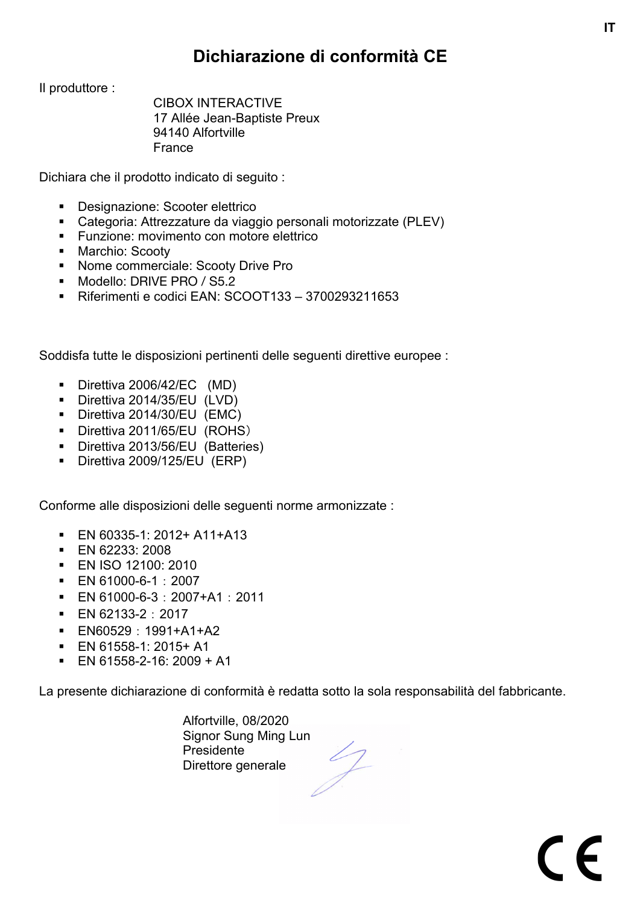## **Dichiarazione di conformità CE**

**IT**

 $\epsilon$ 

Il produttore :

CIBOX INTERACTIVE 17 Allée Jean-Baptiste Preux 94140 Alfortville France

Dichiara che il prodotto indicato di seguito :

- Designazione: Scooter elettrico
- Categoria: Attrezzature da viaggio personali motorizzate (PLEV)
- Funzione: movimento con motore elettrico
- Marchio: Scooty
- Nome commerciale: Scooty Drive Pro
- Modello: DRIVE PRO / S5.2
- § Riferimenti e codici EAN: SCOOT133 3700293211653

Soddisfa tutte le disposizioni pertinenti delle seguenti direttive europee :

- § Direttiva 2006/42/EC (MD)
- § Direttiva 2014/35/EU (LVD)
- § Direttiva 2014/30/EU (EMC)
- § Direttiva 2011/65/EU (ROHS)
- § Direttiva 2013/56/EU (Batteries)
- Direttiva 2009/125/EU (ERP)

Conforme alle disposizioni delle seguenti norme armonizzate :

- § EN 60335-1: 2012+ A11+A13
- § EN 62233: 2008
- § EN ISO 12100: 2010
- § EN 61000-6-1:2007
- § EN 61000-6-3:2007+A1:2011
- EN 62133-2:2017
- § EN60529:1991+A1+A2
- § EN 61558-1: 2015+ A1
- EN 61558-2-16: 2009 + A1

La presente dichiarazione di conformità è redatta sotto la sola responsabilità del fabbricante.

Alfortville, 08/2020 Signor Sung Ming Lun Presidente Direttore generale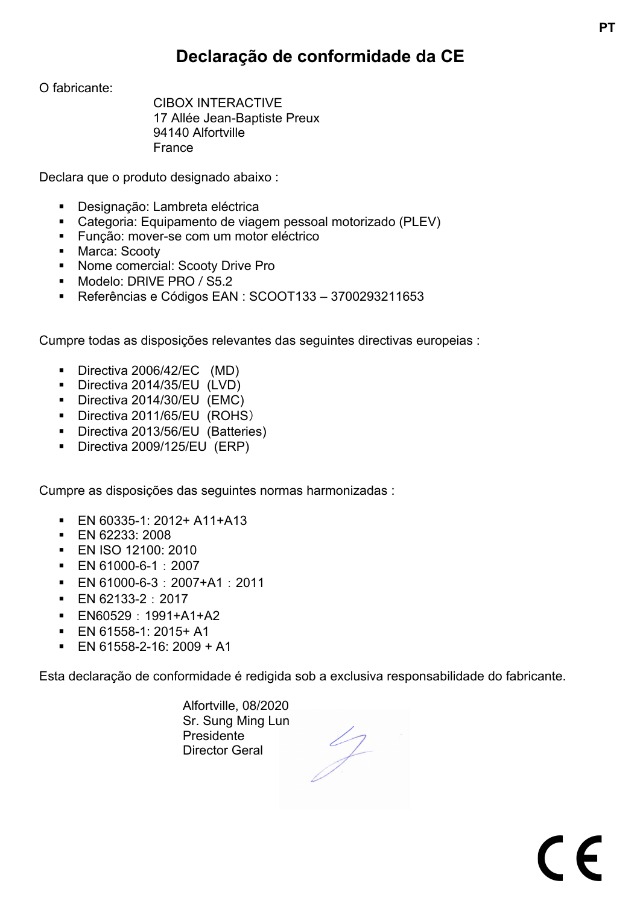### **Declaração de conformidade da CE**

**PT**

 $\epsilon$ 

O fabricante:

CIBOX INTERACTIVE 17 Allée Jean-Baptiste Preux 94140 Alfortville France

Declara que o produto designado abaixo :

- Designação: Lambreta eléctrica
- Categoria: Equipamento de viagem pessoal motorizado (PLEV)
- Funcão: mover-se com um motor eléctrico
- Marca: Scooty
- Nome comercial: Scooty Drive Pro
- § Modelo: DRIVE PRO / S5.2
- § Referências e Códigos EAN : SCOOT133 3700293211653

Cumpre todas as disposições relevantes das seguintes directivas europeias :

- § Directiva 2006/42/EC (MD)
- § Directiva 2014/35/EU (LVD)
- Directiva 2014/30/EU (EMC)
- § Directiva 2011/65/EU (ROHS)
- Directiva 2013/56/EU (Batteries)
- § Directiva 2009/125/EU (ERP)

Cumpre as disposições das seguintes normas harmonizadas :

- § EN 60335-1: 2012+ A11+A13
- § EN 62233: 2008
- § EN ISO 12100: 2010
- § EN 61000-6-1:2007
- $\blacksquare$  EN 61000-6-3: 2007+A1: 2011
- EN 62133-2:2017
- § EN60529:1991+A1+A2
- $\blacksquare$  EN 61558-1: 2015+ A1
- $\blacksquare$  EN 61558-2-16: 2009 + A1

Esta declaração de conformidade é redigida sob a exclusiva responsabilidade do fabricante.

Alfortville, 08/2020 Sr. Sung Ming Lun Presidente Director Geral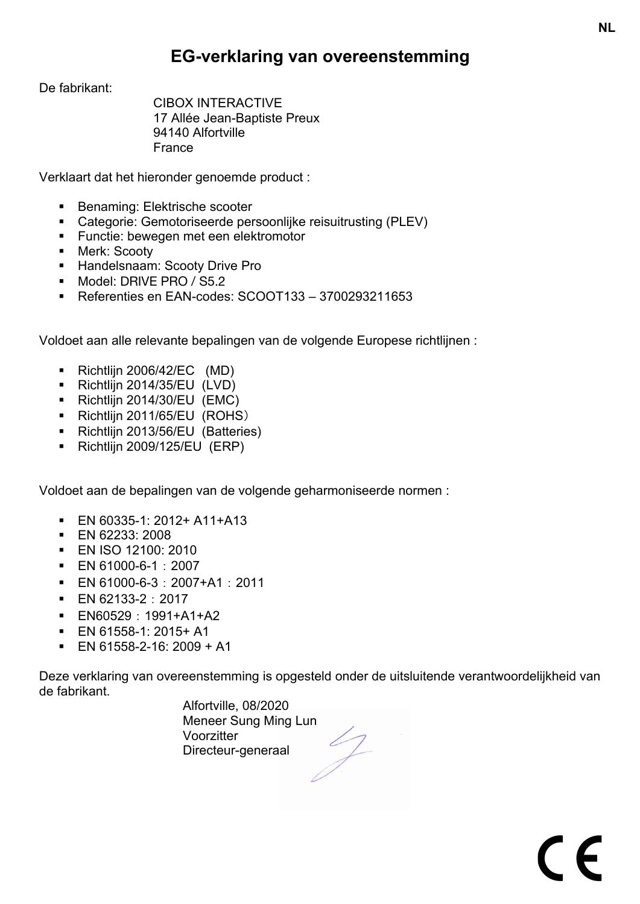#### **EG-verklaring van overeenstemming**

De fabrikant:

CIBOX INTERACTIVE 17 Allée Jean-Baptiste Preux 94140 Alfortville France

Verklaart dat het hieronder genoemde product :

- Benaming: Elektrische scooter
- Categorie: Gemotoriseerde persoonlijke reisuitrusting (PLEV)
- Functie: bewegen met een elektromotor
- Merk: Scooty
- **EXECT:** Handelsnaam: Scooty Drive Pro
- § Model: DRIVE PRO / S5.2
- § Referenties en EAN-codes: SCOOT133 3700293211653

Voldoet aan alle relevante bepalingen van de volgende Europese richtlijnen :

- § Richtlijn 2006/42/EC (MD)
- § Richtlijn 2014/35/EU (LVD)
- § Richtlijn 2014/30/EU (EMC)
- § Richtlijn 2011/65/EU (ROHS)
- Richtlijn 2013/56/EU (Batteries)
- § Richtlijn 2009/125/EU (ERP)

Voldoet aan de bepalingen van de volgende geharmoniseerde normen :

- § EN 60335-1: 2012+ A11+A13
- § EN 62233: 2008
- § EN ISO 12100: 2010
- § EN 61000-6-1:2007
- $\blacksquare$  EN 61000-6-3: 2007+A1: 2011
- EN 62133-2:2017
- § EN60529:1991+A1+A2
- § EN 61558-1: 2015+ A1
- $\blacksquare$  EN 61558-2-16: 2009 + A1

Deze verklaring van overeenstemming is opgesteld onder de uitsluitende verantwoordelijkheid van de fabrikant.

> Alfortville, 08/2020 Meneer Sung Ming Lun Voorzitter Directeur-generaal

 $\in$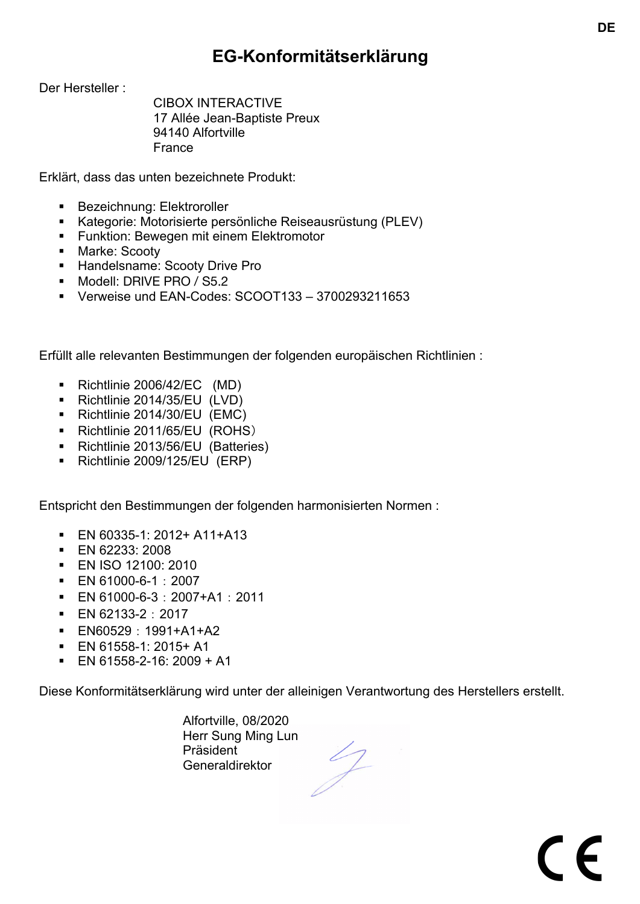### **EG-Konformitätserklärung**

**DE**

 $\epsilon$ 

Der Hersteller :

CIBOX INTERACTIVE 17 Allée Jean-Baptiste Preux 94140 Alfortville France

Erklärt, dass das unten bezeichnete Produkt:

- Bezeichnung: Elektroroller
- Kategorie: Motorisierte persönliche Reiseausrüstung (PLEV)
- Funktion: Bewegen mit einem Elektromotor
- Marke: Scooty
- **EXEC** Handelsname: Scooty Drive Pro
- § Modell: DRIVE PRO / S5.2
- § Verweise und EAN-Codes: SCOOT133 3700293211653

Erfüllt alle relevanten Bestimmungen der folgenden europäischen Richtlinien :

- § Richtlinie 2006/42/EC (MD)
- § Richtlinie 2014/35/EU (LVD)
- § Richtlinie 2014/30/EU (EMC)
- § Richtlinie 2011/65/EU (ROHS)
- Richtlinie 2013/56/EU (Batteries)
- § Richtlinie 2009/125/EU (ERP)

Entspricht den Bestimmungen der folgenden harmonisierten Normen :

- § EN 60335-1: 2012+ A11+A13
- § EN 62233: 2008
- § EN ISO 12100: 2010
- § EN 61000-6-1:2007
- § EN 61000-6-3:2007+A1:2011
- EN 62133-2:2017
- § EN60529:1991+A1+A2
- § EN 61558-1: 2015+ A1
- EN 61558-2-16: 2009 + A1

Diese Konformitätserklärung wird unter der alleinigen Verantwortung des Herstellers erstellt.

Alfortville, 08/2020 Herr Sung Ming Lun Präsident Generaldirektor

 $\sqrt{2}$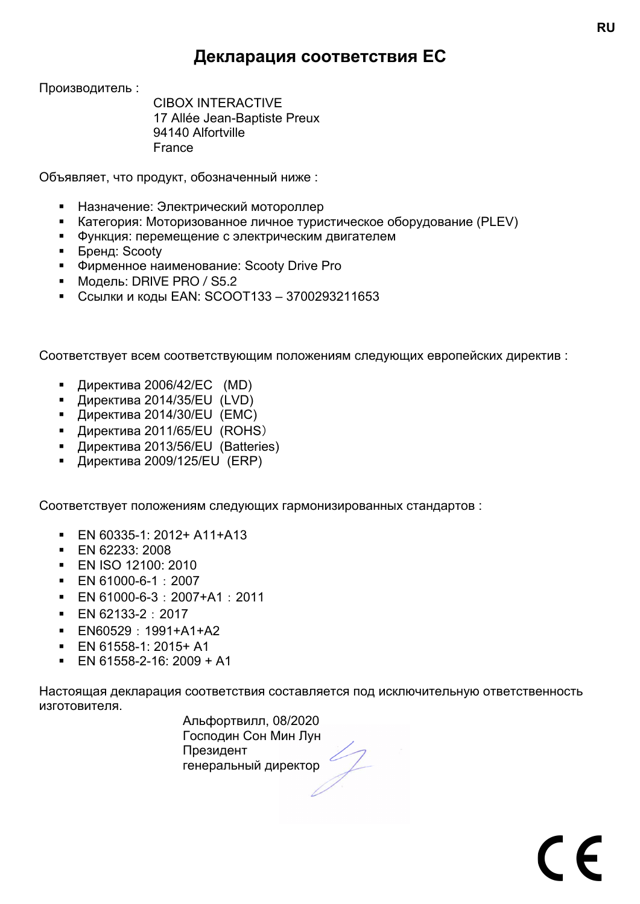#### **Декларация соответствия ЕС**

Производитель :

CIBOX INTERACTIVE 17 Allée Jean-Baptiste Preux 94140 Alfortville France

Объявляет, что продукт, обозначенный ниже :

- **Назначение: Электрический мотороллер**
- Категория: Моторизованное личное туристическое оборудование (PLEV)
- **Функция: перемещение с электрическим двигателем**
- Бренд: Scooty
- § Фирменное наименование: Scooty Drive Pro
- Модель: DRIVE PRO / S5.2
- Ссылки и коды EAN: SCOOT133 3700293211653

Соответствует всем соответствующим положениям следующих европейских директив :

- Директива 2006/42/EC (MD)
- Директива 2014/35/EU (LVD)
- Директива 2014/30/EU (EMC)
- Директива 2011/65/EU (ROHS)
- Директива 2013/56/EU (Batteries)
- Директива 2009/125/EU (ERP)

Соответствует положениям следующих гармонизированных стандартов :

- § EN 60335-1: 2012+ A11+A13
- § EN 62233: 2008
- § EN ISO 12100: 2010
- § EN 61000-6-1:2007
- $\blacksquare$  EN 61000-6-3: 2007+A1: 2011
- EN 62133-2:2017
- § EN60529:1991+A1+A2
- § EN 61558-1: 2015+ A1
- EN 61558-2-16: 2009 + A1

Настоящая декларация соответствия составляется под исключительную ответственность изготовителя.

> Альфортвилл, 08/2020 Господин Сон Мин Лун Президент генеральный директор

 $\epsilon$